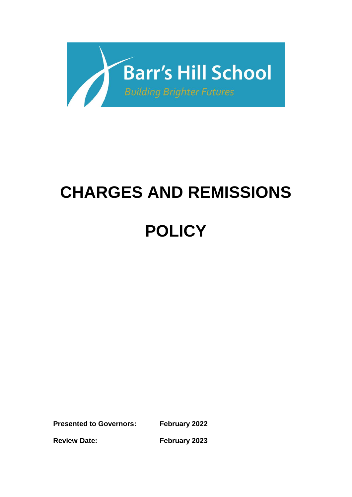

# **CHARGES AND REMISSIONS**

# **POLICY**

**Presented to Governors: February 2022**

**Review Date: February 2023**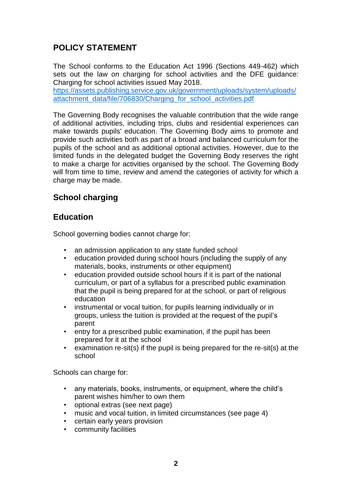# **POLICY STATEMENT**

The School conforms to the Education Act 1996 (Sections 449-462) which sets out the law on charging for school activities and the DFE guidance: Charging for school activities issued May 2018.

[https://assets.publishing.service.gov.uk/government/uploads/system/uploads/](https://assets.publishing.service.gov.uk/government/uploads/system/uploads/attachment_data/file/706830/Charging_for_school_activities.pdf) [attachment\\_data/file/706830/Charging\\_for\\_school\\_activities.pdf](https://assets.publishing.service.gov.uk/government/uploads/system/uploads/attachment_data/file/706830/Charging_for_school_activities.pdf)

The Governing Body recognises the valuable contribution that the wide range of additional activities, including trips, clubs and residential experiences can make towards pupils' education. The Governing Body aims to promote and provide such activities both as part of a broad and balanced curriculum for the pupils of the school and as additional optional activities. However, due to the limited funds in the delegated budget the Governing Body reserves the right to make a charge for activities organised by the school. The Governing Body will from time to time, review and amend the categories of activity for which a charge may be made.

# **School charging**

### **Education**

School governing bodies cannot charge for:

- an admission application to any state funded school
- education provided during school hours (including the supply of any materials, books, instruments or other equipment)
- education provided outside school hours if it is part of the national curriculum, or part of a syllabus for a prescribed public examination that the pupil is being prepared for at the school, or part of religious education
- instrumental or vocal tuition, for pupils learning individually or in groups, unless the tuition is provided at the request of the pupil's parent
- entry for a prescribed public examination, if the pupil has been prepared for it at the school
- examination re-sit(s) if the pupil is being prepared for the re-sit(s) at the school

Schools can charge for:

- any materials, books, instruments, or equipment, where the child's parent wishes him/her to own them
- optional extras (see next page)
- music and vocal tuition, in limited circumstances (see page 4)
- certain early years provision
- community facilities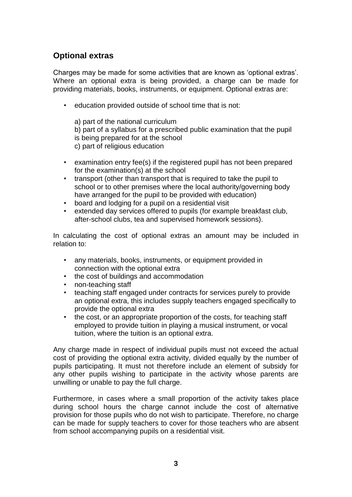# **Optional extras**

Charges may be made for some activities that are known as 'optional extras'. Where an optional extra is being provided, a charge can be made for providing materials, books, instruments, or equipment. Optional extras are:

• education provided outside of school time that is not:

a) part of the national curriculum b) part of a syllabus for a prescribed public examination that the pupil is being prepared for at the school c) part of religious education

- examination entry fee(s) if the registered pupil has not been prepared for the examination(s) at the school
- transport (other than transport that is required to take the pupil to school or to other premises where the local authority/governing body have arranged for the pupil to be provided with education)
- board and lodging for a pupil on a residential visit
- extended day services offered to pupils (for example breakfast club, after-school clubs, tea and supervised homework sessions).

In calculating the cost of optional extras an amount may be included in relation to:

- any materials, books, instruments, or equipment provided in connection with the optional extra
- the cost of buildings and accommodation
- non-teaching staff
- teaching staff engaged under contracts for services purely to provide an optional extra, this includes supply teachers engaged specifically to provide the optional extra
- the cost, or an appropriate proportion of the costs, for teaching staff employed to provide tuition in playing a musical instrument, or vocal tuition, where the tuition is an optional extra.

Any charge made in respect of individual pupils must not exceed the actual cost of providing the optional extra activity, divided equally by the number of pupils participating. It must not therefore include an element of subsidy for any other pupils wishing to participate in the activity whose parents are unwilling or unable to pay the full charge.

Furthermore, in cases where a small proportion of the activity takes place during school hours the charge cannot include the cost of alternative provision for those pupils who do not wish to participate. Therefore, no charge can be made for supply teachers to cover for those teachers who are absent from school accompanying pupils on a residential visit.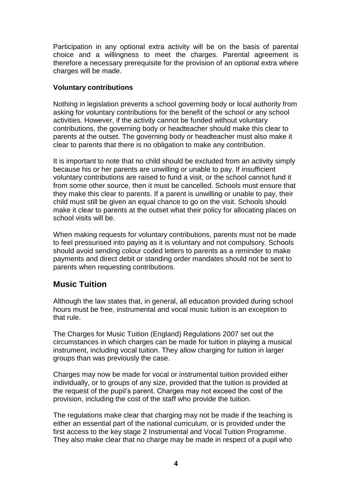Participation in any optional extra activity will be on the basis of parental choice and a willingness to meet the charges. Parental agreement is therefore a necessary prerequisite for the provision of an optional extra where charges will be made.

#### **Voluntary contributions**

Nothing in legislation prevents a school governing body or local authority from asking for voluntary contributions for the benefit of the school or any school activities. However, if the activity cannot be funded without voluntary contributions, the governing body or headteacher should make this clear to parents at the outset. The governing body or headteacher must also make it clear to parents that there is no obligation to make any contribution.

It is important to note that no child should be excluded from an activity simply because his or her parents are unwilling or unable to pay. If insufficient voluntary contributions are raised to fund a visit, or the school cannot fund it from some other source, then it must be cancelled. Schools must ensure that they make this clear to parents. If a parent is unwilling or unable to pay, their child must still be given an equal chance to go on the visit. Schools should make it clear to parents at the outset what their policy for allocating places on school visits will be.

When making requests for voluntary contributions, parents must not be made to feel pressurised into paying as it is voluntary and not compulsory. Schools should avoid sending colour coded letters to parents as a reminder to make payments and direct debit or standing order mandates should not be sent to parents when requesting contributions.

# **Music Tuition**

Although the law states that, in general, all education provided during school hours must be free, instrumental and vocal music tuition is an exception to that rule.

The Charges for Music Tuition (England) Regulations 2007 set out the circumstances in which charges can be made for tuition in playing a musical instrument, including vocal tuition. They allow charging for tuition in larger groups than was previously the case.

Charges may now be made for vocal or instrumental tuition provided either individually, or to groups of any size, provided that the tuition is provided at the request of the pupil's parent. Charges may not exceed the cost of the provision, including the cost of the staff who provide the tuition.

The regulations make clear that charging may not be made if the teaching is either an essential part of the national curriculum, or is provided under the first access to the key stage 2 Instrumental and Vocal Tuition Programme. They also make clear that no charge may be made in respect of a pupil who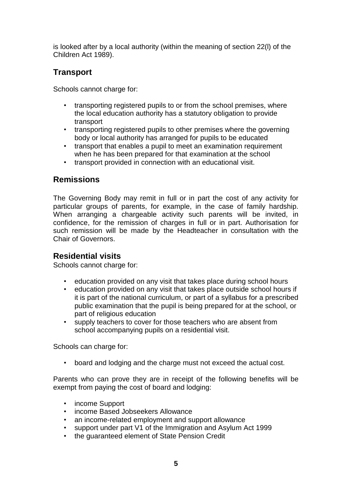is looked after by a local authority (within the meaning of section 22(l) of the Children Act 1989).

# **Transport**

Schools cannot charge for:

- transporting registered pupils to or from the school premises, where the local education authority has a statutory obligation to provide transport
- transporting registered pupils to other premises where the governing body or local authority has arranged for pupils to be educated
- transport that enables a pupil to meet an examination requirement when he has been prepared for that examination at the school
- transport provided in connection with an educational visit.

#### **Remissions**

The Governing Body may remit in full or in part the cost of any activity for particular groups of parents, for example, in the case of family hardship. When arranging a chargeable activity such parents will be invited, in confidence, for the remission of charges in full or in part. Authorisation for such remission will be made by the Headteacher in consultation with the Chair of Governors.

#### **Residential visits**

Schools cannot charge for:

- education provided on any visit that takes place during school hours<br>• education provided on any visit that takes place outside school hours
- education provided on any visit that takes place outside school hours if it is part of the national curriculum, or part of a syllabus for a prescribed public examination that the pupil is being prepared for at the school, or part of religious education
- supply teachers to cover for those teachers who are absent from school accompanying pupils on a residential visit.

Schools can charge for:

• board and lodging and the charge must not exceed the actual cost.

Parents who can prove they are in receipt of the following benefits will be exempt from paying the cost of board and lodging:

- income Support
- income Based Jobseekers Allowance
- 
- an income-related employment and support allowance<br>• support under part V1 of the Immigration and Asylum A • support under part V1 of the Immigration and Asylum Act 1999
- the guaranteed element of State Pension Credit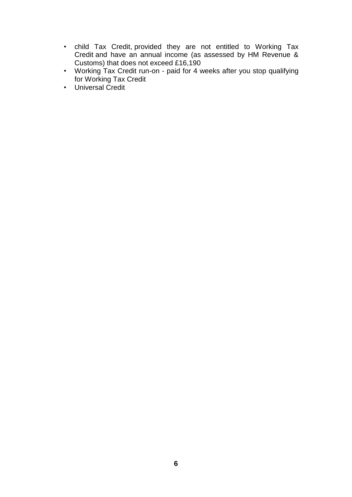- child Tax Credit, provided they are not entitled to Working Tax Credit and have an annual income (as assessed by HM Revenue & Customs) that does not exceed £16,190
- Working Tax Credit run-on paid for 4 weeks after you stop qualifying for Working Tax Credit
- Universal Credit